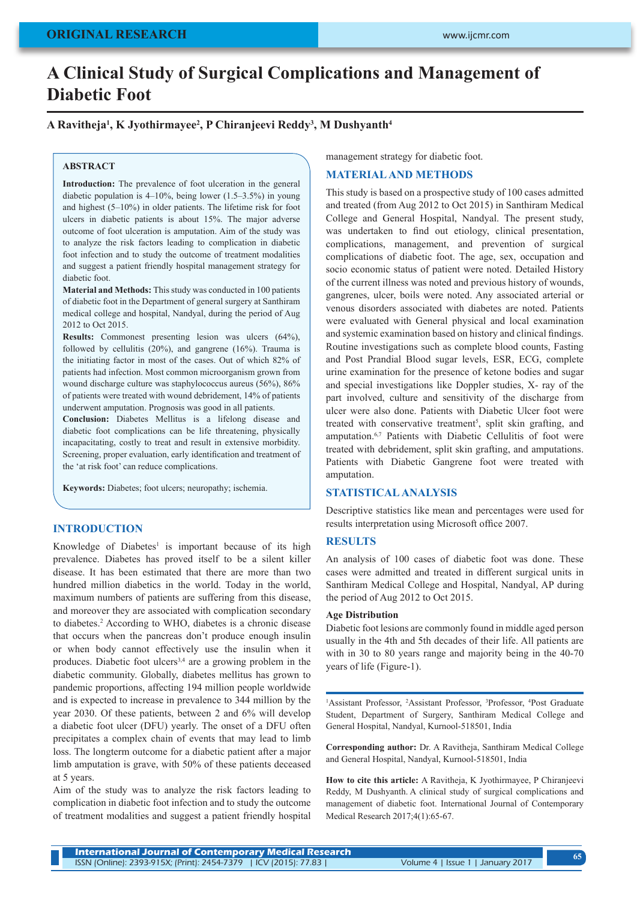# **A Clinical Study of Surgical Complications and Management of Diabetic Foot**

## **A Ravitheja1 , K Jyothirmayee2 , P Chiranjeevi Reddy3 , M Dushyanth4**

#### **ABSTRACT**

**Introduction:** The prevalence of foot ulceration in the general diabetic population is 4–10%, being lower (1.5–3.5%) in young and highest (5–10%) in older patients. The lifetime risk for foot ulcers in diabetic patients is about 15%. The major adverse outcome of foot ulceration is amputation. Aim of the study was to analyze the risk factors leading to complication in diabetic foot infection and to study the outcome of treatment modalities and suggest a patient friendly hospital management strategy for diabetic foot.

**Material and Methods:** This study was conducted in 100 patients of diabetic foot in the Department of general surgery at Santhiram medical college and hospital, Nandyal, during the period of Aug 2012 to Oct 2015.

**Results:** Commonest presenting lesion was ulcers (64%), followed by cellulitis (20%), and gangrene (16%). Trauma is the initiating factor in most of the cases. Out of which 82% of patients had infection. Most common microorganism grown from wound discharge culture was staphylococcus aureus (56%), 86% of patients were treated with wound debridement, 14% of patients underwent amputation. Prognosis was good in all patients.

**Conclusion:** Diabetes Mellitus is a lifelong disease and diabetic foot complications can be life threatening, physically incapacitating, costly to treat and result in extensive morbidity. Screening, proper evaluation, early identification and treatment of the 'at risk foot' can reduce complications.

**Keywords:** Diabetes; foot ulcers; neuropathy; ischemia.

## **INTRODUCTION**

Knowledge of Diabetes<sup>1</sup> is important because of its high prevalence. Diabetes has proved itself to be a silent killer disease. It has been estimated that there are more than two hundred million diabetics in the world. Today in the world, maximum numbers of patients are suffering from this disease, and moreover they are associated with complication secondary to diabetes.2 According to WHO, diabetes is a chronic disease that occurs when the pancreas don't produce enough insulin or when body cannot effectively use the insulin when it produces. Diabetic foot ulcers<sup>3,4</sup> are a growing problem in the diabetic community. Globally, diabetes mellitus has grown to pandemic proportions, affecting 194 million people worldwide and is expected to increase in prevalence to 344 million by the year 2030. Of these patients, between 2 and 6% will develop a diabetic foot ulcer (DFU) yearly. The onset of a DFU often precipitates a complex chain of events that may lead to limb loss. The longterm outcome for a diabetic patient after a major limb amputation is grave, with 50% of these patients deceased at 5 years.

Aim of the study was to analyze the risk factors leading to complication in diabetic foot infection and to study the outcome of treatment modalities and suggest a patient friendly hospital management strategy for diabetic foot.

## **MATERIAL AND METHODS**

This study is based on a prospective study of 100 cases admitted and treated (from Aug 2012 to Oct 2015) in Santhiram Medical College and General Hospital, Nandyal. The present study, was undertaken to find out etiology, clinical presentation, complications, management, and prevention of surgical complications of diabetic foot. The age, sex, occupation and socio economic status of patient were noted. Detailed History of the current illness was noted and previous history of wounds, gangrenes, ulcer, boils were noted. Any associated arterial or venous disorders associated with diabetes are noted. Patients were evaluated with General physical and local examination and systemic examination based on history and clinical findings. Routine investigations such as complete blood counts, Fasting and Post Prandial Blood sugar levels, ESR, ECG, complete urine examination for the presence of ketone bodies and sugar and special investigations like Doppler studies, X- ray of the part involved, culture and sensitivity of the discharge from ulcer were also done. Patients with Diabetic Ulcer foot were treated with conservative treatment<sup>5</sup>, split skin grafting, and amputation.<sup>6,7</sup> Patients with Diabetic Cellulitis of foot were treated with debridement, split skin grafting, and amputations. Patients with Diabetic Gangrene foot were treated with amputation.

## **STATISTICAL ANALYSIS**

Descriptive statistics like mean and percentages were used for results interpretation using Microsoft office 2007.

#### **RESULTS**

An analysis of 100 cases of diabetic foot was done. These cases were admitted and treated in different surgical units in Santhiram Medical College and Hospital, Nandyal, AP during the period of Aug 2012 to Oct 2015.

#### **Age Distribution**

Diabetic foot lesions are commonly found in middle aged person usually in the 4th and 5th decades of their life. All patients are with in 30 to 80 years range and majority being in the 40-70 years of life (Figure-1).

<sup>1</sup>Assistant Professor, <sup>2</sup>Assistant Professor, <sup>3</sup>Professor, <sup>4</sup>Post Graduate Student, Department of Surgery, Santhiram Medical College and General Hospital, Nandyal, Kurnool-518501, India

**Corresponding author:** Dr. A Ravitheja, Santhiram Medical College and General Hospital, Nandyal, Kurnool-518501, India

**How to cite this article:** A Ravitheja, K Jyothirmayee, P Chiranjeevi Reddy, M Dushyanth. A clinical study of surgical complications and management of diabetic foot. International Journal of Contemporary Medical Research 2017;4(1):65-67.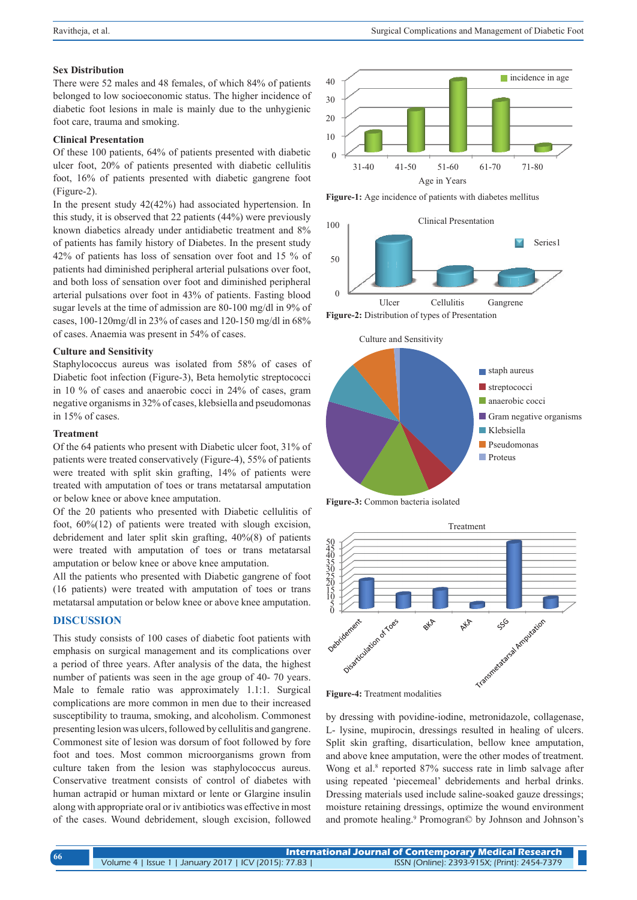#### **Sex Distribution**

There were 52 males and 48 females, of which 84% of patients belonged to low socioeconomic status. The higher incidence of diabetic foot lesions in male is mainly due to the unhygienic foot care, trauma and smoking.

## **Clinical Presentation**

Of these 100 patients, 64% of patients presented with diabetic ulcer foot, 20% of patients presented with diabetic cellulitis foot, 16% of patients presented with diabetic gangrene foot (Figure-2).

In the present study 42(42%) had associated hypertension. In this study, it is observed that 22 patients (44%) were previously known diabetics already under antidiabetic treatment and 8% of patients has family history of Diabetes. In the present study 42% of patients has loss of sensation over foot and 15 % of patients had diminished peripheral arterial pulsations over foot, and both loss of sensation over foot and diminished peripheral arterial pulsations over foot in 43% of patients. Fasting blood sugar levels at the time of admission are 80-100 mg/dl in 9% of cases, 100-120mg/dl in 23% of cases and 120-150 mg/dl in 68% of cases. Anaemia was present in 54% of cases.

#### **Culture and Sensitivity**

Staphylococcus aureus was isolated from 58% of cases of Diabetic foot infection (Figure-3), Beta hemolytic streptococci in 10 % of cases and anaerobic cocci in 24% of cases, gram negative organisms in 32% of cases, klebsiella and pseudomonas in 15% of cases.

#### **Treatment**

Of the 64 patients who present with Diabetic ulcer foot, 31% of patients were treated conservatively (Figure-4), 55% of patients were treated with split skin grafting, 14% of patients were treated with amputation of toes or trans metatarsal amputation or below knee or above knee amputation.

Of the 20 patients who presented with Diabetic cellulitis of foot, 60%(12) of patients were treated with slough excision, debridement and later split skin grafting, 40%(8) of patients were treated with amputation of toes or trans metatarsal amputation or below knee or above knee amputation.

All the patients who presented with Diabetic gangrene of foot (16 patients) were treated with amputation of toes or trans metatarsal amputation or below knee or above knee amputation.

#### **DISCUSSION**

This study consists of 100 cases of diabetic foot patients with emphasis on surgical management and its complications over a period of three years. After analysis of the data, the highest number of patients was seen in the age group of 40- 70 years. Male to female ratio was approximately 1.1:1. Surgical complications are more common in men due to their increased susceptibility to trauma, smoking, and alcoholism. Commonest presenting lesion was ulcers, followed by cellulitis and gangrene. Commonest site of lesion was dorsum of foot followed by fore foot and toes. Most common microorganisms grown from culture taken from the lesion was staphylococcus aureus. Conservative treatment consists of control of diabetes with human actrapid or human mixtard or lente or Glargine insulin along with appropriate oral or iv antibiotics was effective in most of the cases. Wound debridement, slough excision, followed



**Figure-1:** Age incidence of patients with diabetes mellitus



Culture and Sensitivity



**Figure-3:** Common bacteria isolated



**Figure-4:** Treatment modalities

by dressing with povidine-iodine, metronidazole, collagenase, L- lysine, mupirocin, dressings resulted in healing of ulcers. Split skin grafting, disarticulation, bellow knee amputation, and above knee amputation, were the other modes of treatment. Wong et al.<sup>8</sup> reported 87% success rate in limb salvage after using repeated 'piecemeal' debridements and herbal drinks. Dressing materials used include saline-soaked gauze dressings; moisture retaining dressings, optimize the wound environment and promote healing.<sup>9</sup> Promogran© by Johnson and Johnson's